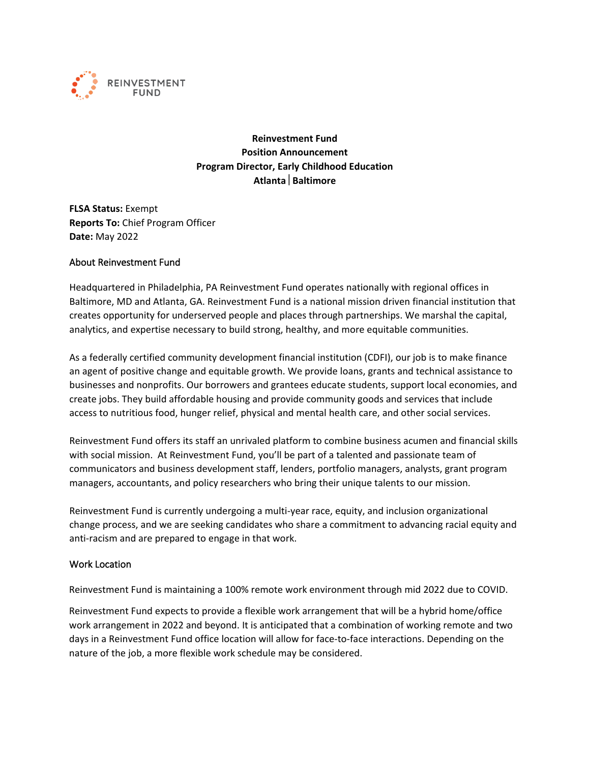

**Reinvestment Fund Position Announcement Program Director, Early Childhood Education Atlanta Baltimore**

**FLSA Status:** Exempt **Reports To:** Chief Program Officer **Date:** May 2022

#### About Reinvestment Fund

Headquartered in Philadelphia, PA Reinvestment Fund operates nationally with regional offices in Baltimore, MD and Atlanta, GA. Reinvestment Fund is a national mission driven financial institution that creates opportunity for underserved people and places through partnerships. We marshal the capital, analytics, and expertise necessary to build strong, healthy, and more equitable communities.

As a federally certified community development financial institution (CDFI), our job is to make finance an agent of positive change and equitable growth. We provide loans, grants and technical assistance to businesses and nonprofits. Our borrowers and grantees educate students, support local economies, and create jobs. They build affordable housing and provide community goods and services that include access to nutritious food, hunger relief, physical and mental health care, and other social services.

Reinvestment Fund offers its staff an unrivaled platform to combine business acumen and financial skills with social mission. At Reinvestment Fund, you'll be part of a talented and passionate team of communicators and business development staff, lenders, portfolio managers, analysts, grant program managers, accountants, and policy researchers who bring their unique talents to our mission.

Reinvestment Fund is currently undergoing a multi-year race, equity, and inclusion organizational change process, and we are seeking candidates who share a commitment to advancing racial equity and anti-racism and are prepared to engage in that work.

#### Work Location

Reinvestment Fund is maintaining a 100% remote work environment through mid 2022 due to COVID.

Reinvestment Fund expects to provide a flexible work arrangement that will be a hybrid home/office work arrangement in 2022 and beyond. It is anticipated that a combination of working remote and two days in a Reinvestment Fund office location will allow for face-to-face interactions. Depending on the nature of the job, a more flexible work schedule may be considered.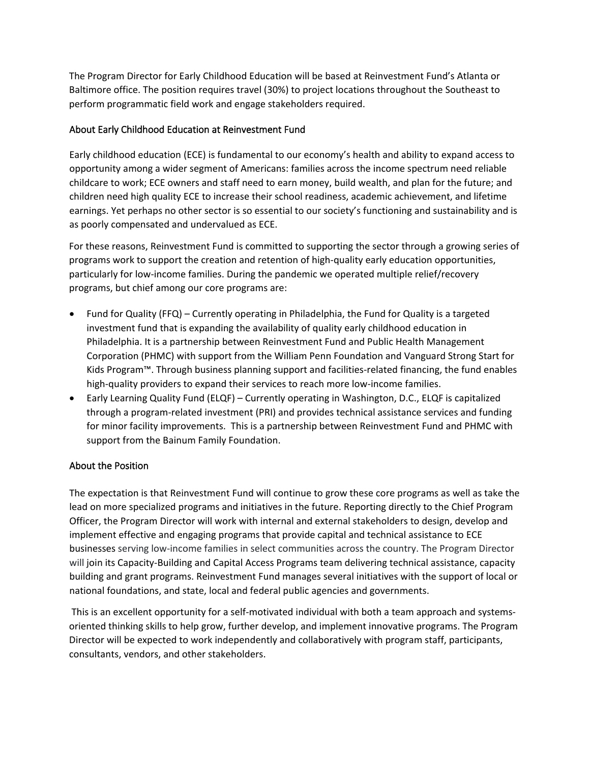The Program Director for Early Childhood Education will be based at Reinvestment Fund's Atlanta or Baltimore office. The position requires travel (30%) to project locations throughout the Southeast to perform programmatic field work and engage stakeholders required.

### About Early Childhood Education at Reinvestment Fund

Early childhood education (ECE) is fundamental to our economy's health and ability to expand access to opportunity among a wider segment of Americans: families across the income spectrum need reliable childcare to work; ECE owners and staff need to earn money, build wealth, and plan for the future; and children need high quality ECE to increase their school readiness, academic achievement, and lifetime earnings. Yet perhaps no other sector is so essential to our society's functioning and sustainability and is as poorly compensated and undervalued as ECE.

For these reasons, Reinvestment Fund is committed to supporting the sector through a growing series of programs work to support the creation and retention of high-quality early education opportunities, particularly for low-income families. During the pandemic we operated multiple relief/recovery programs, but chief among our core programs are:

- Fund for Quality (FFQ) Currently operating in Philadelphia, the Fund for Quality is a targeted investment fund that is expanding the availability of quality early childhood education in Philadelphia. It is a partnership between Reinvestment Fund and Public Health Management Corporation (PHMC) with support from the William Penn Foundation and Vanguard Strong Start for Kids Program™. Through business planning support and facilities-related financing, the fund enables high-quality providers to expand their services to reach more low-income families.
- Early Learning Quality Fund (ELQF) Currently operating in Washington, D.C., ELQF is capitalized through a program-related investment (PRI) and provides technical assistance services and funding for minor facility improvements. This is a partnership between Reinvestment Fund and PHMC with support from the Bainum Family Foundation.

# About the Position

The expectation is that Reinvestment Fund will continue to grow these core programs as well as take the lead on more specialized programs and initiatives in the future. Reporting directly to the Chief Program Officer, the Program Director will work with internal and external stakeholders to design, develop and implement effective and engaging programs that provide capital and technical assistance to ECE businesses serving low-income families in select communities across the country. The Program Director will join its Capacity-Building and Capital Access Programs team delivering technical assistance, capacity building and grant programs. Reinvestment Fund manages several initiatives with the support of local or national foundations, and state, local and federal public agencies and governments.

This is an excellent opportunity for a self-motivated individual with both a team approach and systemsoriented thinking skills to help grow, further develop, and implement innovative programs. The Program Director will be expected to work independently and collaboratively with program staff, participants, consultants, vendors, and other stakeholders.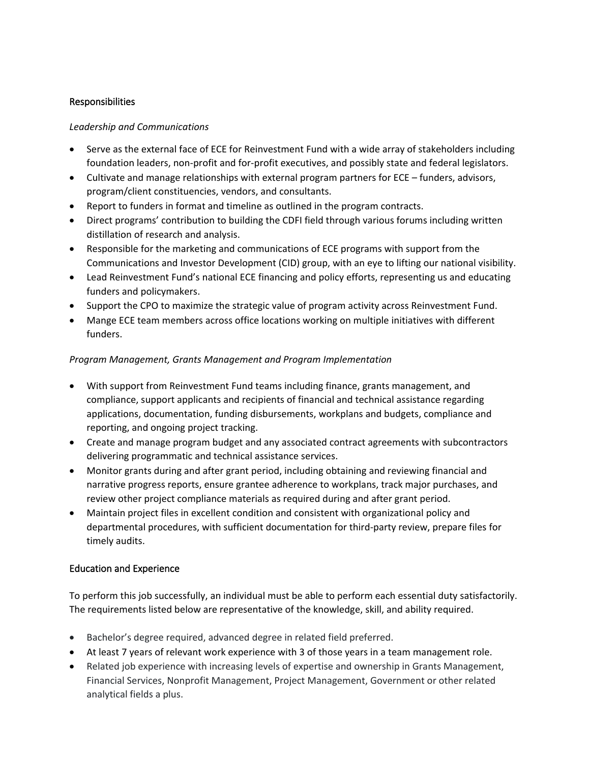### Responsibilities

#### *Leadership and Communications*

- Serve as the external face of ECE for Reinvestment Fund with a wide array of stakeholders including foundation leaders, non-profit and for-profit executives, and possibly state and federal legislators.
- Cultivate and manage relationships with external program partners for ECE funders, advisors, program/client constituencies, vendors, and consultants.
- Report to funders in format and timeline as outlined in the program contracts.
- Direct programs' contribution to building the CDFI field through various forums including written distillation of research and analysis.
- Responsible for the marketing and communications of ECE programs with support from the Communications and Investor Development (CID) group, with an eye to lifting our national visibility.
- Lead Reinvestment Fund's national ECE financing and policy efforts, representing us and educating funders and policymakers.
- Support the CPO to maximize the strategic value of program activity across Reinvestment Fund.
- Mange ECE team members across office locations working on multiple initiatives with different funders.

# *Program Management, Grants Management and Program Implementation*

- With support from Reinvestment Fund teams including finance, grants management, and compliance, support applicants and recipients of financial and technical assistance regarding applications, documentation, funding disbursements, workplans and budgets, compliance and reporting, and ongoing project tracking.
- Create and manage program budget and any associated contract agreements with subcontractors delivering programmatic and technical assistance services.
- Monitor grants during and after grant period, including obtaining and reviewing financial and narrative progress reports, ensure grantee adherence to workplans, track major purchases, and review other project compliance materials as required during and after grant period.
- Maintain project files in excellent condition and consistent with organizational policy and departmental procedures, with sufficient documentation for third-party review, prepare files for timely audits.

# Education and Experience

To perform this job successfully, an individual must be able to perform each essential duty satisfactorily. The requirements listed below are representative of the knowledge, skill, and ability required.

- Bachelor's degree required, advanced degree in related field preferred.
- At least 7 years of relevant work experience with 3 of those years in a team management role.
- Related job experience with increasing levels of expertise and ownership in Grants Management, Financial Services, Nonprofit Management, Project Management, Government or other related analytical fields a plus.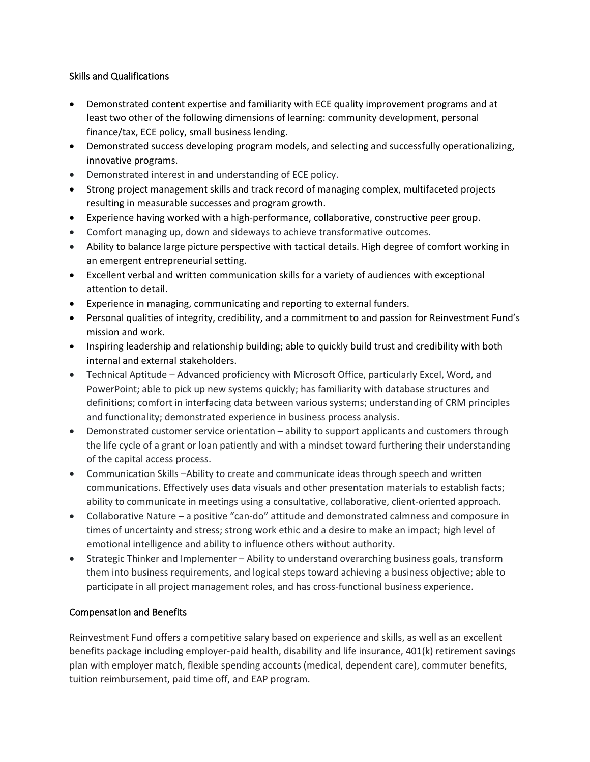# Skills and Qualifications

- Demonstrated content expertise and familiarity with ECE quality improvement programs and at least two other of the following dimensions of learning: community development, personal finance/tax, ECE policy, small business lending.
- Demonstrated success developing program models, and selecting and successfully operationalizing, innovative programs.
- Demonstrated interest in and understanding of ECE policy.
- Strong project management skills and track record of managing complex, multifaceted projects resulting in measurable successes and program growth.
- Experience having worked with a high-performance, collaborative, constructive peer group.
- Comfort managing up, down and sideways to achieve transformative outcomes.
- Ability to balance large picture perspective with tactical details. High degree of comfort working in an emergent entrepreneurial setting.
- Excellent verbal and written communication skills for a variety of audiences with exceptional attention to detail.
- Experience in managing, communicating and reporting to external funders.
- Personal qualities of integrity, credibility, and a commitment to and passion for Reinvestment Fund's mission and work.
- Inspiring leadership and relationship building; able to quickly build trust and credibility with both internal and external stakeholders.
- Technical Aptitude Advanced proficiency with Microsoft Office, particularly Excel, Word, and PowerPoint; able to pick up new systems quickly; has familiarity with database structures and definitions; comfort in interfacing data between various systems; understanding of CRM principles and functionality; demonstrated experience in business process analysis.
- Demonstrated customer service orientation ability to support applicants and customers through the life cycle of a grant or loan patiently and with a mindset toward furthering their understanding of the capital access process.
- Communication Skills –Ability to create and communicate ideas through speech and written communications. Effectively uses data visuals and other presentation materials to establish facts; ability to communicate in meetings using a consultative, collaborative, client-oriented approach.
- Collaborative Nature a positive "can-do" attitude and demonstrated calmness and composure in times of uncertainty and stress; strong work ethic and a desire to make an impact; high level of emotional intelligence and ability to influence others without authority.
- Strategic Thinker and Implementer Ability to understand overarching business goals, transform them into business requirements, and logical steps toward achieving a business objective; able to participate in all project management roles, and has cross-functional business experience.

# Compensation and Benefits

Reinvestment Fund offers a competitive salary based on experience and skills, as well as an excellent benefits package including employer-paid health, disability and life insurance, 401(k) retirement savings plan with employer match, flexible spending accounts (medical, dependent care), commuter benefits, tuition reimbursement, paid time off, and EAP program.